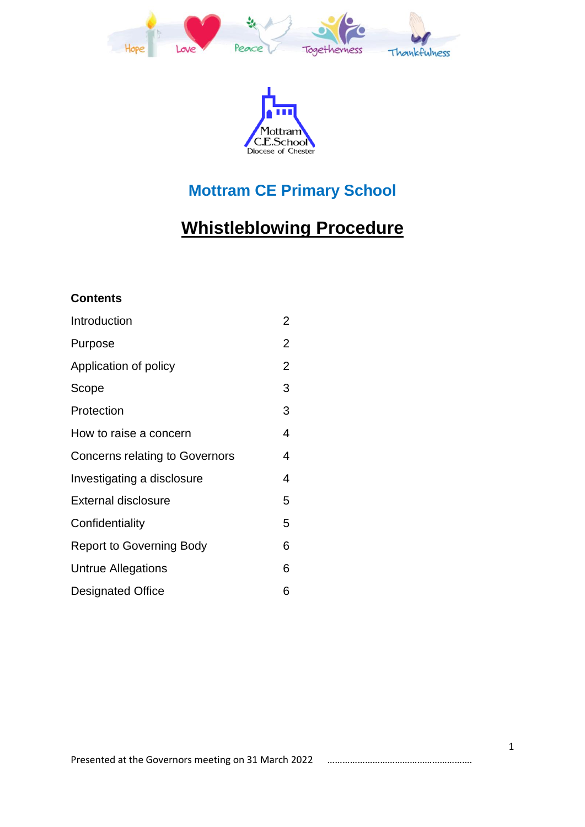



## **Mottram CE Primary School**

# **Whistleblowing Procedure**

#### **Contents**

| Introduction                          | $\overline{2}$ |
|---------------------------------------|----------------|
| Purpose                               | $\overline{2}$ |
| Application of policy                 | $\overline{2}$ |
| Scope                                 | 3              |
| Protection                            | 3              |
| How to raise a concern                | 4              |
| <b>Concerns relating to Governors</b> | 4              |
| Investigating a disclosure            | 4              |
| <b>External disclosure</b>            | 5              |
| Confidentiality                       | 5              |
| <b>Report to Governing Body</b>       | 6              |
| <b>Untrue Allegations</b>             | 6              |
| <b>Designated Office</b>              | 6              |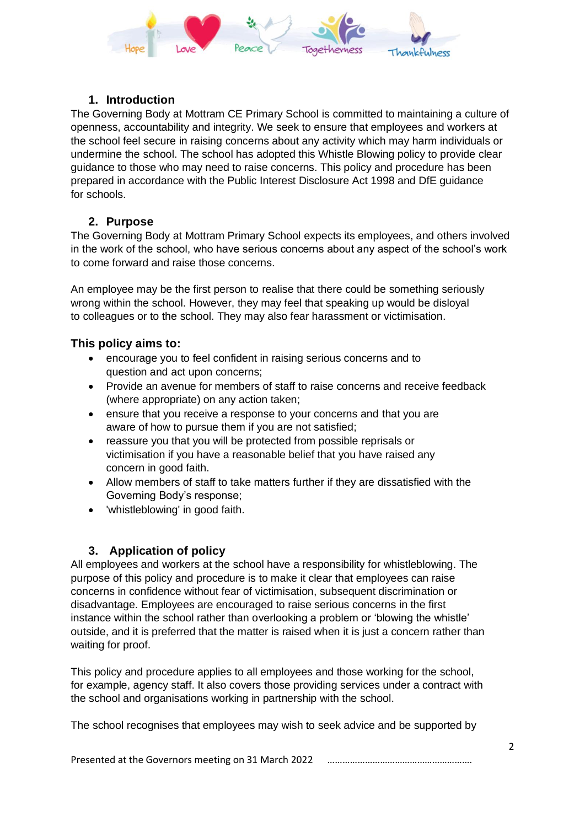

#### **1. Introduction**

The Governing Body at Mottram CE Primary School is committed to maintaining a culture of openness, accountability and integrity. We seek to ensure that employees and workers at the school feel secure in raising concerns about any activity which may harm individuals or undermine the school. The school has adopted this Whistle Blowing policy to provide clear guidance to those who may need to raise concerns. This policy and procedure has been prepared in accordance with the Public Interest Disclosure Act 1998 and DfE guidance for schools.

#### **2. Purpose**

The Governing Body at Mottram Primary School expects its employees, and others involved in the work of the school, who have serious concerns about any aspect of the school's work to come forward and raise those concerns.

An employee may be the first person to realise that there could be something seriously wrong within the school. However, they may feel that speaking up would be disloyal to colleagues or to the school. They may also fear harassment or victimisation.

#### **This policy aims to:**

- encourage you to feel confident in raising serious concerns and to question and act upon concerns;
- Provide an avenue for members of staff to raise concerns and receive feedback (where appropriate) on any action taken;
- ensure that you receive a response to your concerns and that you are aware of how to pursue them if you are not satisfied;
- reassure you that you will be protected from possible reprisals or victimisation if you have a reasonable belief that you have raised any concern in good faith.
- Allow members of staff to take matters further if they are dissatisfied with the Governing Body's response;
- 'whistleblowing' in good faith.

## **3. Application of policy**

All employees and workers at the school have a responsibility for whistleblowing. The purpose of this policy and procedure is to make it clear that employees can raise concerns in confidence without fear of victimisation, subsequent discrimination or disadvantage. Employees are encouraged to raise serious concerns in the first instance within the school rather than overlooking a problem or 'blowing the whistle' outside, and it is preferred that the matter is raised when it is just a concern rather than waiting for proof.

This policy and procedure applies to all employees and those working for the school, for example, agency staff. It also covers those providing services under a contract with the school and organisations working in partnership with the school.

The school recognises that employees may wish to seek advice and be supported by

Presented at the Governors meeting on 31 March 2022 ………………………………………………….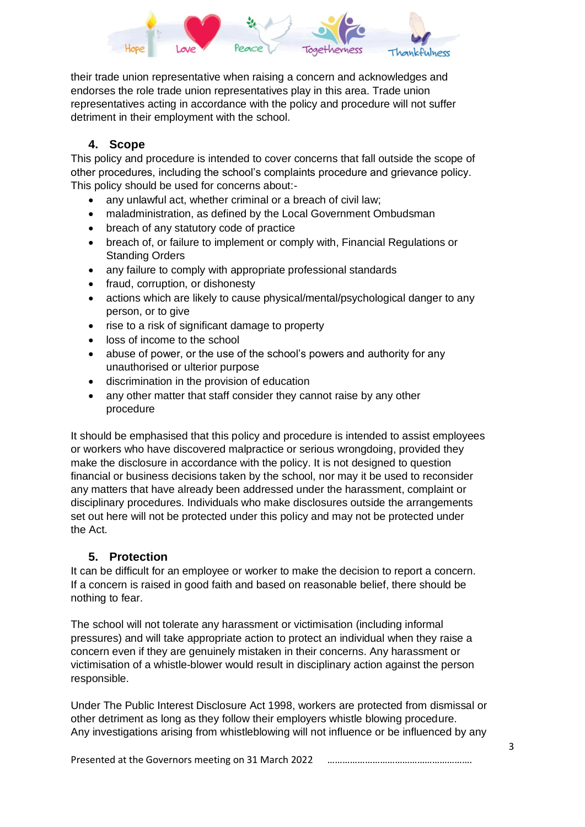

their trade union representative when raising a concern and acknowledges and endorses the role trade union representatives play in this area. Trade union representatives acting in accordance with the policy and procedure will not suffer detriment in their employment with the school.

## **4. Scope**

This policy and procedure is intended to cover concerns that fall outside the scope of other procedures, including the school's complaints procedure and grievance policy. This policy should be used for concerns about:-

- any unlawful act, whether criminal or a breach of civil law:
- maladministration, as defined by the Local Government Ombudsman
- breach of any statutory code of practice
- breach of, or failure to implement or comply with, Financial Regulations or Standing Orders
- any failure to comply with appropriate professional standards
- fraud, corruption, or dishonesty
- actions which are likely to cause physical/mental/psychological danger to any person, or to give
- rise to a risk of significant damage to property
- loss of income to the school
- abuse of power, or the use of the school's powers and authority for any unauthorised or ulterior purpose
- discrimination in the provision of education
- any other matter that staff consider they cannot raise by any other procedure

It should be emphasised that this policy and procedure is intended to assist employees or workers who have discovered malpractice or serious wrongdoing, provided they make the disclosure in accordance with the policy. It is not designed to question financial or business decisions taken by the school, nor may it be used to reconsider any matters that have already been addressed under the harassment, complaint or disciplinary procedures. Individuals who make disclosures outside the arrangements set out here will not be protected under this policy and may not be protected under the Act.

## **5. Protection**

It can be difficult for an employee or worker to make the decision to report a concern. If a concern is raised in good faith and based on reasonable belief, there should be nothing to fear.

The school will not tolerate any harassment or victimisation (including informal pressures) and will take appropriate action to protect an individual when they raise a concern even if they are genuinely mistaken in their concerns. Any harassment or victimisation of a whistle-blower would result in disciplinary action against the person responsible.

Under The Public Interest Disclosure Act 1998, workers are protected from dismissal or other detriment as long as they follow their employers whistle blowing procedure. Any investigations arising from whistleblowing will not influence or be influenced by any

Presented at the Governors meeting on 31 March 2022 ………………………………………………….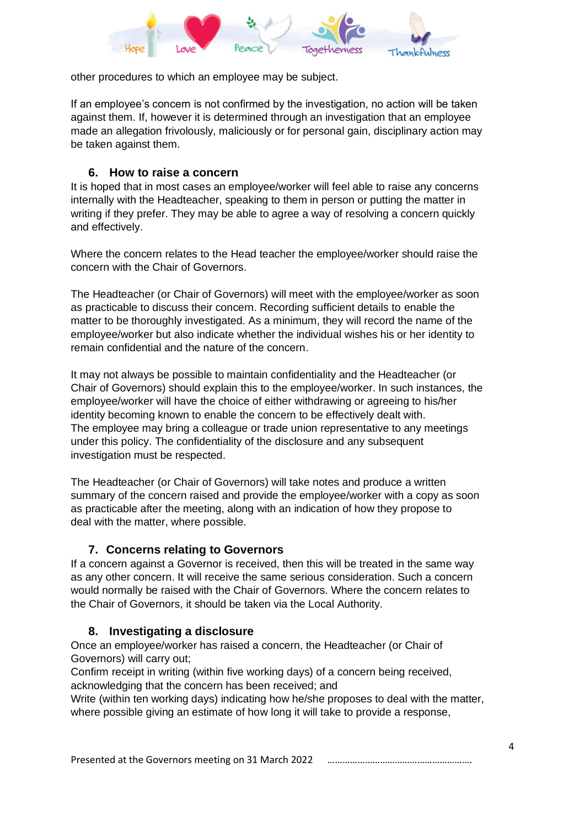

other procedures to which an employee may be subject.

If an employee's concern is not confirmed by the investigation, no action will be taken against them. If, however it is determined through an investigation that an employee made an allegation frivolously, maliciously or for personal gain, disciplinary action may be taken against them.

#### **6. How to raise a concern**

It is hoped that in most cases an employee/worker will feel able to raise any concerns internally with the Headteacher, speaking to them in person or putting the matter in writing if they prefer. They may be able to agree a way of resolving a concern quickly and effectively.

Where the concern relates to the Head teacher the employee/worker should raise the concern with the Chair of Governors.

The Headteacher (or Chair of Governors) will meet with the employee/worker as soon as practicable to discuss their concern. Recording sufficient details to enable the matter to be thoroughly investigated. As a minimum, they will record the name of the employee/worker but also indicate whether the individual wishes his or her identity to remain confidential and the nature of the concern.

It may not always be possible to maintain confidentiality and the Headteacher (or Chair of Governors) should explain this to the employee/worker. In such instances, the employee/worker will have the choice of either withdrawing or agreeing to his/her identity becoming known to enable the concern to be effectively dealt with. The employee may bring a colleague or trade union representative to any meetings under this policy. The confidentiality of the disclosure and any subsequent investigation must be respected.

The Headteacher (or Chair of Governors) will take notes and produce a written summary of the concern raised and provide the employee/worker with a copy as soon as practicable after the meeting, along with an indication of how they propose to deal with the matter, where possible.

#### **7. Concerns relating to Governors**

If a concern against a Governor is received, then this will be treated in the same way as any other concern. It will receive the same serious consideration. Such a concern would normally be raised with the Chair of Governors. Where the concern relates to the Chair of Governors, it should be taken via the Local Authority.

#### **8. Investigating a disclosure**

Once an employee/worker has raised a concern, the Headteacher (or Chair of Governors) will carry out;

Confirm receipt in writing (within five working days) of a concern being received, acknowledging that the concern has been received; and

Write (within ten working days) indicating how he/she proposes to deal with the matter, where possible giving an estimate of how long it will take to provide a response,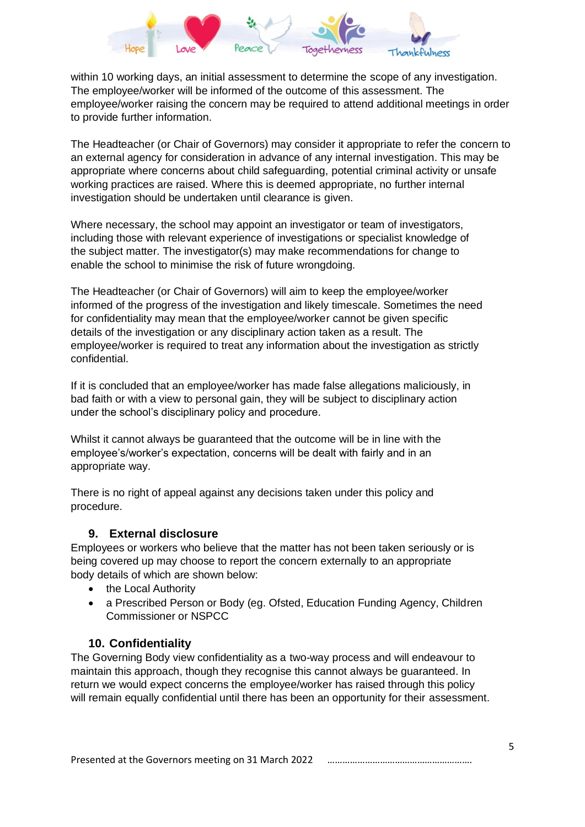

within 10 working days, an initial assessment to determine the scope of any investigation. The employee/worker will be informed of the outcome of this assessment. The employee/worker raising the concern may be required to attend additional meetings in order to provide further information.

The Headteacher (or Chair of Governors) may consider it appropriate to refer the concern to an external agency for consideration in advance of any internal investigation. This may be appropriate where concerns about child safeguarding, potential criminal activity or unsafe working practices are raised. Where this is deemed appropriate, no further internal investigation should be undertaken until clearance is given.

Where necessary, the school may appoint an investigator or team of investigators, including those with relevant experience of investigations or specialist knowledge of the subject matter. The investigator(s) may make recommendations for change to enable the school to minimise the risk of future wrongdoing.

The Headteacher (or Chair of Governors) will aim to keep the employee/worker informed of the progress of the investigation and likely timescale. Sometimes the need for confidentiality may mean that the employee/worker cannot be given specific details of the investigation or any disciplinary action taken as a result. The employee/worker is required to treat any information about the investigation as strictly confidential.

If it is concluded that an employee/worker has made false allegations maliciously, in bad faith or with a view to personal gain, they will be subject to disciplinary action under the school's disciplinary policy and procedure.

Whilst it cannot always be guaranteed that the outcome will be in line with the employee's/worker's expectation, concerns will be dealt with fairly and in an appropriate way.

There is no right of appeal against any decisions taken under this policy and procedure.

#### **9. External disclosure**

Employees or workers who believe that the matter has not been taken seriously or is being covered up may choose to report the concern externally to an appropriate body details of which are shown below:

- the Local Authority
- a Prescribed Person or Body (eg. Ofsted, Education Funding Agency, Children Commissioner or NSPCC

## **10. Confidentiality**

The Governing Body view confidentiality as a two-way process and will endeavour to maintain this approach, though they recognise this cannot always be guaranteed. In return we would expect concerns the employee/worker has raised through this policy will remain equally confidential until there has been an opportunity for their assessment.